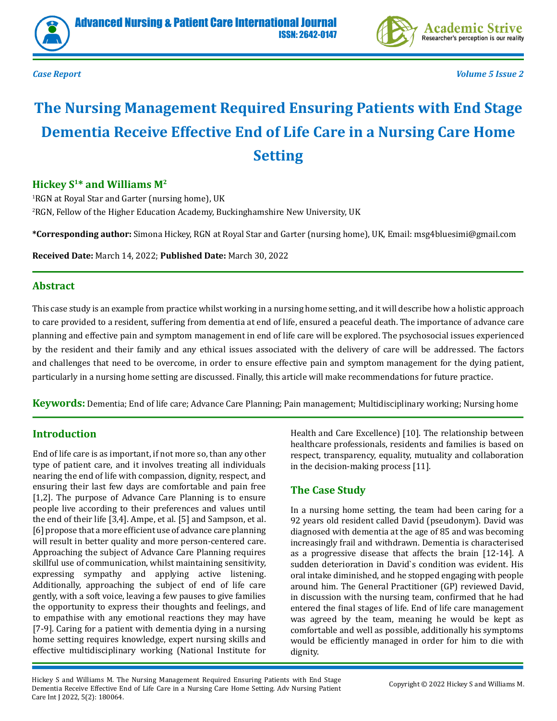



*Case Report Volume 5 Issue 2*

# **The Nursing Management Required Ensuring Patients with End Stage Dementia Receive Effective End of Life Care in a Nursing Care Home Setting**

# **Hickey S1\* and Williams M2**

1 RGN at Royal Star and Garter (nursing home), UK 2 RGN, Fellow of the Higher Education Academy, Buckinghamshire New University, UK

**\*Corresponding author:** Simona Hickey, RGN at Royal Star and Garter (nursing home), UK, Email: msg4bluesimi@gmail.com

**Received Date:** March 14, 2022; **Published Date:** March 30, 2022

#### **Abstract**

This case study is an example from practice whilst working in a nursing home setting, and it will describe how a holistic approach to care provided to a resident, suffering from dementia at end of life, ensured a peaceful death. The importance of advance care planning and effective pain and symptom management in end of life care will be explored. The psychosocial issues experienced by the resident and their family and any ethical issues associated with the delivery of care will be addressed. The factors and challenges that need to be overcome, in order to ensure effective pain and symptom management for the dying patient, particularly in a nursing home setting are discussed. Finally, this article will make recommendations for future practice.

**Keywords:** Dementia; End of life care; Advance Care Planning; Pain management; Multidisciplinary working; Nursing home

# **Introduction**

End of life care is as important, if not more so, than any other type of patient care, and it involves treating all individuals nearing the end of life with compassion, dignity, respect, and ensuring their last few days are comfortable and pain free [1,2]. The purpose of Advance Care Planning is to ensure people live according to their preferences and values until the end of their life [3,4]. Ampe, et al. [5] and Sampson, et al. [6] propose that a more efficient use of advance care planning will result in better quality and more person-centered care. Approaching the subject of Advance Care Planning requires skillful use of communication, whilst maintaining sensitivity, expressing sympathy and applying active listening. Additionally, approaching the subject of end of life care gently, with a soft voice, leaving a few pauses to give families the opportunity to express their thoughts and feelings, and to empathise with any emotional reactions they may have [7-9]. Caring for a patient with dementia dying in a nursing home setting requires knowledge, expert nursing skills and effective multidisciplinary working (National Institute for Health and Care Excellence) [10]. The relationship between healthcare professionals, residents and families is based on respect, transparency, equality, mutuality and collaboration in the decision-making process [11].

# **The Case Study**

In a nursing home setting, the team had been caring for a 92 years old resident called David (pseudonym). David was diagnosed with dementia at the age of 85 and was becoming increasingly frail and withdrawn. Dementia is characterised as a progressive disease that affects the brain [12-14]. A sudden deterioration in David`s condition was evident. His oral intake diminished, and he stopped engaging with people around him. The General Practitioner (GP) reviewed David, in discussion with the nursing team, confirmed that he had entered the final stages of life. End of life care management was agreed by the team, meaning he would be kept as comfortable and well as possible, additionally his symptoms would be efficiently managed in order for him to die with dignity.

Hickey S and Williams M. The Nursing Management Required Ensuring Patients with End Stage Dementia Receive Effective End of Life Care in a Nursing Care Home Setting. Adv Nursing Patient Care Int J 2022, 5(2): 180064.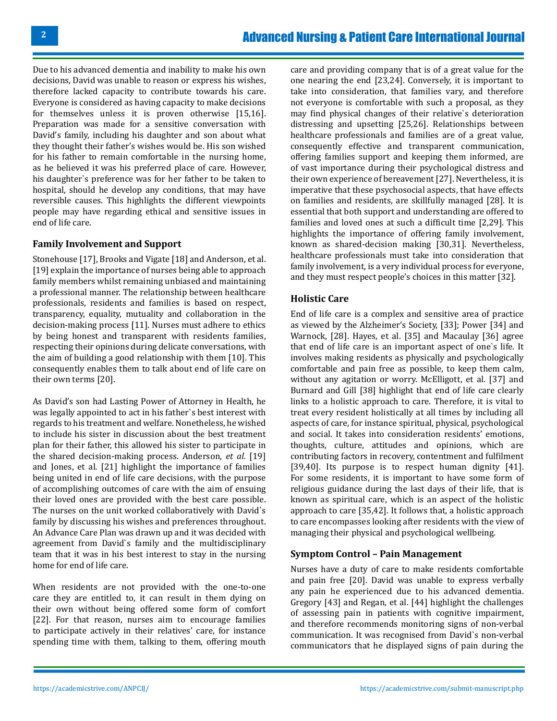Due to his advanced dementia and inability to make his own decisions, David was unable to reason or express his wishes, therefore lacked capacity to contribute towards his care. Everyone is considered as having capacity to make decisions for themselves unless it is proven otherwise [15,16]. Preparation was made for a sensitive conversation with David's family, including his daughter and son about what they thought their father's wishes would be. His son wished for his father to remain comfortable in the nursing home, as he believed it was his preferred place of care. However, his daughter`s preference was for her father to be taken to hospital, should he develop any conditions, that may have reversible causes. This highlights the different viewpoints people may have regarding ethical and sensitive issues in end of life care.

#### **Family Involvement and Support**

Stonehouse [17], Brooks and Vigate [18] and Anderson, et al. [19] explain the importance of nurses being able to approach family members whilst remaining unbiased and maintaining a professional manner. The relationship between healthcare professionals, residents and families is based on respect, transparency, equality, mutuality and collaboration in the decision-making process [11]. Nurses must adhere to ethics by being honest and transparent with residents families, respecting their opinions during delicate conversations, with the aim of building a good relationship with them [10]. This consequently enables them to talk about end of life care on their own terms [20].

As David's son had Lasting Power of Attorney in Health, he was legally appointed to act in his father`s best interest with regards to his treatment and welfare. Nonetheless, he wished to include his sister in discussion about the best treatment plan for their father, this allowed his sister to participate in the shared decision-making process. Anderson, *et al.* [19] and Jones, et al*.* [21] highlight the importance of families being united in end of life care decisions, with the purpose of accomplishing outcomes of care with the aim of ensuing their loved ones are provided with the best care possible. The nurses on the unit worked collaboratively with David`s family by discussing his wishes and preferences throughout. An Advance Care Plan was drawn up and it was decided with agreement from David`s family and the multidisciplinary team that it was in his best interest to stay in the nursing home for end of life care.

When residents are not provided with the one-to-one care they are entitled to, it can result in them dying on their own without being offered some form of comfort [22]. For that reason, nurses aim to encourage families to participate actively in their relatives' care, for instance spending time with them, talking to them, offering mouth

care and providing company that is of a great value for the one nearing the end [23,24]. Conversely, it is important to take into consideration, that families vary, and therefore not everyone is comfortable with such a proposal, as they may find physical changes of their relative`s deterioration distressing and upsetting [25,26]. Relationships between healthcare professionals and families are of a great value, consequently effective and transparent communication, offering families support and keeping them informed, are of vast importance during their psychological distress and their own experience of bereavement [27]. Nevertheless, it is imperative that these psychosocial aspects, that have effects on families and residents, are skillfully managed [28]. It is essential that both support and understanding are offered to families and loved ones at such a difficult time [2,29]. This highlights the importance of offering family involvement, known as shared-decision making [30,31]. Nevertheless, healthcare professionals must take into consideration that family involvement, is a very individual process for everyone, and they must respect people's choices in this matter [32].

#### **Holistic Care**

End of life care is a complex and sensitive area of practice as viewed by the Alzheimer's Society, [33]; Power [34] and Warnock, [28]. Hayes, et al. [35] and Macaulay [36] agree that end of life care is an important aspect of one`s life. It involves making residents as physically and psychologically comfortable and pain free as possible, to keep them calm, without any agitation or worry. McElligott, et al. [37] and Burnard and Gill [38] highlight that end of life care clearly links to a holistic approach to care. Therefore, it is vital to treat every resident holistically at all times by including all aspects of care, for instance spiritual, physical, psychological and social. It takes into consideration residents' emotions, thoughts, culture, attitudes and opinions, which are contributing factors in recovery, contentment and fulfilment [39,40]. Its purpose is to respect human dignity [41]. For some residents, it is important to have some form of religious guidance during the last days of their life, that is known as spiritual care, which is an aspect of the holistic approach to care [35,42]. It follows that, a holistic approach to care encompasses looking after residents with the view of managing their physical and psychological wellbeing.

#### **Symptom Control – Pain Management**

Nurses have a duty of care to make residents comfortable and pain free [20]. David was unable to express verbally any pain he experienced due to his advanced dementia. Gregory [43] and Regan, et al. [44] highlight the challenges of assessing pain in patients with cognitive impairment, and therefore recommends monitoring signs of non-verbal communication. It was recognised from David`s non-verbal communicators that he displayed signs of pain during the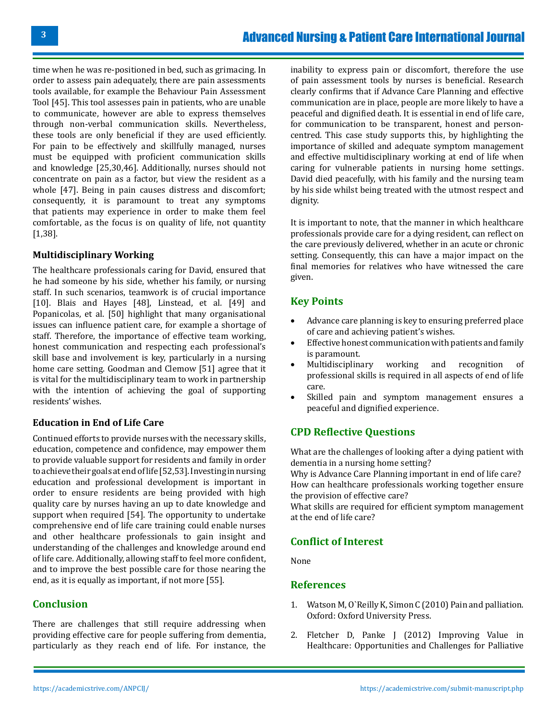time when he was re-positioned in bed, such as grimacing. In order to assess pain adequately, there are pain assessments tools available, for example the Behaviour Pain Assessment Tool [45]. This tool assesses pain in patients, who are unable to communicate, however are able to express themselves through non-verbal communication skills. Nevertheless, these tools are only beneficial if they are used efficiently. For pain to be effectively and skillfully managed, nurses must be equipped with proficient communication skills and knowledge [25,30,46]. Additionally, nurses should not concentrate on pain as a factor, but view the resident as a whole [47]. Being in pain causes distress and discomfort; consequently, it is paramount to treat any symptoms that patients may experience in order to make them feel comfortable, as the focus is on quality of life, not quantity [1,38].

#### **Multidisciplinary Working**

The healthcare professionals caring for David, ensured that he had someone by his side, whether his family, or nursing staff. In such scenarios, teamwork is of crucial importance [10]. Blais and Hayes [48], Linstead, et al*.* [49] and Popanicolas, et al. [50] highlight that many organisational issues can influence patient care, for example a shortage of staff. Therefore, the importance of effective team working, honest communication and respecting each professional's skill base and involvement is key, particularly in a nursing home care setting. Goodman and Clemow [51] agree that it is vital for the multidisciplinary team to work in partnership with the intention of achieving the goal of supporting residents' wishes.

#### **Education in End of Life Care**

Continued efforts to provide nurses with the necessary skills, education, competence and confidence, may empower them to provide valuable support for residents and family in order to achieve their goals at end of life [52,53]. Investing in nursing education and professional development is important in order to ensure residents are being provided with high quality care by nurses having an up to date knowledge and support when required [54]. The opportunity to undertake comprehensive end of life care training could enable nurses and other healthcare professionals to gain insight and understanding of the challenges and knowledge around end of life care. Additionally, allowing staff to feel more confident, and to improve the best possible care for those nearing the end, as it is equally as important, if not more [55].

# **Conclusion**

There are challenges that still require addressing when providing effective care for people suffering from dementia, particularly as they reach end of life. For instance, the

inability to express pain or discomfort, therefore the use of pain assessment tools by nurses is beneficial. Research clearly confirms that if Advance Care Planning and effective communication are in place, people are more likely to have a peaceful and dignified death. It is essential in end of life care, for communication to be transparent, honest and personcentred. This case study supports this, by highlighting the importance of skilled and adequate symptom management and effective multidisciplinary working at end of life when caring for vulnerable patients in nursing home settings. David died peacefully, with his family and the nursing team by his side whilst being treated with the utmost respect and dignity.

It is important to note, that the manner in which healthcare professionals provide care for a dying resident, can reflect on the care previously delivered, whether in an acute or chronic setting. Consequently, this can have a major impact on the final memories for relatives who have witnessed the care given.

# **Key Points**

- Advance care planning is key to ensuring preferred place of care and achieving patient's wishes.
- Effective honest communication with patients and family is paramount.
- Multidisciplinary working and recognition of professional skills is required in all aspects of end of life care.
- Skilled pain and symptom management ensures a peaceful and dignified experience.

# **CPD Reflective Questions**

What are the challenges of looking after a dying patient with dementia in a nursing home setting?

Why is Advance Care Planning important in end of life care? How can healthcare professionals working together ensure the provision of effective care?

What skills are required for efficient symptom management at the end of life care?

# **Conflict of Interest**

None

# **References**

- 1. [Watson M, O`Reilly K, Simon C \(2010\) Pain and palliation.](https://oxfordmedicine.com/view/10.1093/med/9780199215720.001.0001/med-9780199215720)  [Oxford: Oxford University Press.](https://oxfordmedicine.com/view/10.1093/med/9780199215720.001.0001/med-9780199215720)
- 2. [Fletcher D, Panke J \(2012\) Improving Value in](https://www.nursingcenter.com/journalarticle?Article_ID=1423749&Journal_ID=260877&Issue_ID=1423744) [Healthcare: Opportunities and Challenges for Palliative](https://www.nursingcenter.com/journalarticle?Article_ID=1423749&Journal_ID=260877&Issue_ID=1423744)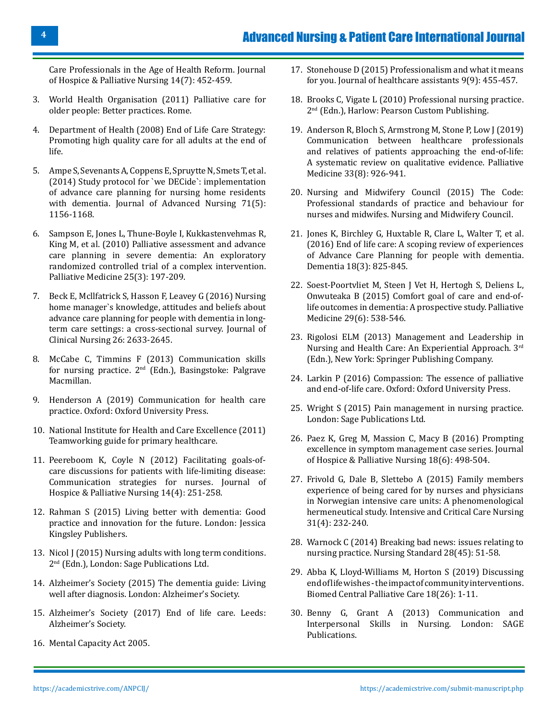[Care Professionals in the Age of Health Reform. Journal](https://www.nursingcenter.com/journalarticle?Article_ID=1423749&Journal_ID=260877&Issue_ID=1423744) [of Hospice & Palliative Nursing 14\(7\): 452-459.](https://www.nursingcenter.com/journalarticle?Article_ID=1423749&Journal_ID=260877&Issue_ID=1423744)

- 3. [World Health Organisation \(2011\) Palliative care for](https://www.euro.who.int/__data/assets/pdf_file/0017/143153/e95052.pdf) [older people: Better practices. Rome.](https://www.euro.who.int/__data/assets/pdf_file/0017/143153/e95052.pdf)
- 4. [Department of Health \(2008\) End of Life Care Strategy:](https://assets.publishing.service.gov.uk/government/uploads/system/uploads/attachment_data/file/136431/End_of_life_strategy.pdf) [Promoting high quality care for all adults at the end of](https://assets.publishing.service.gov.uk/government/uploads/system/uploads/attachment_data/file/136431/End_of_life_strategy.pdf) [life.](https://assets.publishing.service.gov.uk/government/uploads/system/uploads/attachment_data/file/136431/End_of_life_strategy.pdf)
- 5. [Ampe S, Sevenants A, Coppens E, Spruytte N, Smets T, et al.](https://pubmed.ncbi.nlm.nih.gov/25534007/) [\(2014\) Study protocol for `we DECide`: implementation](https://pubmed.ncbi.nlm.nih.gov/25534007/) [of advance care planning for nursing home residents](https://pubmed.ncbi.nlm.nih.gov/25534007/) [with dementia. Journal of Advanced Nursing 71\(5\):](https://pubmed.ncbi.nlm.nih.gov/25534007/) [1156-1168.](https://pubmed.ncbi.nlm.nih.gov/25534007/)
- 6. [Sampson E, Jones L, Thune-Boyle I, Kukkastenvehmas R,](https://pubmed.ncbi.nlm.nih.gov/21228087/) [King M, et al. \(2010\) Palliative assessment and advance](https://pubmed.ncbi.nlm.nih.gov/21228087/) [care planning in severe dementia: An exploratory](https://pubmed.ncbi.nlm.nih.gov/21228087/) [randomized controlled trial of a complex intervention.](https://pubmed.ncbi.nlm.nih.gov/21228087/) [Palliative Medicine 25\(3\): 197-209.](https://pubmed.ncbi.nlm.nih.gov/21228087/)
- 7. [Beck E, Mcllfatrick S, Hasson F, Leavey G \(2016\) Nursing](https://pubmed.ncbi.nlm.nih.gov/27995678/) [home manager`s knowledge, attitudes and beliefs about](https://pubmed.ncbi.nlm.nih.gov/27995678/) [advance care planning for people with dementia in long](https://pubmed.ncbi.nlm.nih.gov/27995678/)[term care settings: a cross-sectional survey. Journal of](https://pubmed.ncbi.nlm.nih.gov/27995678/) [Clinical Nursing 26: 2633-2645.](https://pubmed.ncbi.nlm.nih.gov/27995678/)
- 8. [McCabe C, Timmins F \(2013\) Communication skills](https://www.bloomsbury.com/us/communication-skills-for-nursing-practice-9780230369207/) for nursing practice.  $2<sup>nd</sup>$  (Edn.), Basingstoke: Palgrave [Macmillan.](https://www.bloomsbury.com/us/communication-skills-for-nursing-practice-9780230369207/)
- 9. [Henderson A \(2019\) Communication for health care](https://global.oup.com/academic/product/communication-for-health-care-practice-9780195596762?cc=us&lang=en&) [practice. Oxford: Oxford University Press.](https://global.oup.com/academic/product/communication-for-health-care-practice-9780195596762?cc=us&lang=en&)
- 10. [National Institute for Health and Care Excellence \(2011\)](http://www.nice.org.uk/aboutnice/whoweare/aboutthehda/hdapublications/teamworking_guide_for_primary_healthcare.jsp) [Teamworking guide for primary healthcare.](http://www.nice.org.uk/aboutnice/whoweare/aboutthehda/hdapublications/teamworking_guide_for_primary_healthcare.jsp)
- 11. [Peereboom K, Coyle N \(2012\) Facilitating goals-of](https://nursing.ceconnection.com/ovidfiles/00129191-201206000-00003.pdf)[care discussions for patients with life-limiting disease:](https://nursing.ceconnection.com/ovidfiles/00129191-201206000-00003.pdf) [Communication strategies for nurses.](https://nursing.ceconnection.com/ovidfiles/00129191-201206000-00003.pdf) Journal of Hospice [& Palliative Nursing 14\(4\): 251-258.](https://nursing.ceconnection.com/ovidfiles/00129191-201206000-00003.pdf)
- 12. Rahman S (2015) Living better with dementia: Good practice and innovation for the future. London: Jessica Kingsley Publishers.
- 13. [Nicol J \(2015\) Nursing adults with long term conditions.](http://eprints.worc.ac.uk/4005/) 2<sup>nd</sup> (Edn.), London: Sage Publications Ltd.
- 14. [Alzheimer's Society \(2015\) The dementia guide: Living](https://www.alzheimers.org.uk/get-support/publications-factsheets/the-dementia-guide) [well after diagnosis. London: Alzheimer's Society.](https://www.alzheimers.org.uk/get-support/publications-factsheets/the-dementia-guide)
- 15. [Alzheimer's Society \(2017\) End of life care. Leeds:](https://www.alzheimers.org.uk/sites/default/files/2018-05/531_End_of_life_care.pdf) [Alzheimer's Society.](https://www.alzheimers.org.uk/sites/default/files/2018-05/531_End_of_life_care.pdf)
- 16. [Mental Capacity Act 2005.](https://www.legislation.gov.uk/ukpga/2005/9/section/2)
- 17. [Stonehouse D \(2015\) Professionalism and what it means](http://usir.salford.ac.uk/id/eprint/46580/?template=banner) [for you. Journal of healthcare assistants 9\(9\): 455-457.](http://usir.salford.ac.uk/id/eprint/46580/?template=banner)
- 18. Brooks C, Vigate L (2010) Professional nursing practice. 2nd (Edn.), Harlow: Pearson Custom Publishing.
- 19. [Anderson R, Bloch S, Armstrong M, Stone P, Low J \(2019\)](https://pubmed.ncbi.nlm.nih.gov/31184529/) [Communication between healthcare professionals](https://pubmed.ncbi.nlm.nih.gov/31184529/) [and relatives of patients approaching the end-of-life:](https://pubmed.ncbi.nlm.nih.gov/31184529/) [A systematic review on qualitative evidence. Palliative](https://pubmed.ncbi.nlm.nih.gov/31184529/) [Medicine 33\(8\): 926-941.](https://pubmed.ncbi.nlm.nih.gov/31184529/)
- 20. [Nursing and Midwifery Council \(2015\) The Code:](https://www.nmc.org.uk/globalassets/sitedocuments/nmc-publications/nmc-code.pdf) [Professional standards of practice and behaviour for](https://www.nmc.org.uk/globalassets/sitedocuments/nmc-publications/nmc-code.pdf) [nurses and midwifes. Nursing and Midwifery Council.](https://www.nmc.org.uk/globalassets/sitedocuments/nmc-publications/nmc-code.pdf)
- 21. [Jones K, Birchley G, Huxtable R, Clare L, Walter T, et al.](https://pubmed.ncbi.nlm.nih.gov/27821714/) [\(2016\) End of life care: A scoping review of experiences](https://pubmed.ncbi.nlm.nih.gov/27821714/) [of Advance Care Planning for people with dementia.](https://pubmed.ncbi.nlm.nih.gov/27821714/) [Dementia 18\(3\): 825-845.](https://pubmed.ncbi.nlm.nih.gov/27821714/)
- 22. [Soest-Poortvliet M, Steen J Vet H, Hertogh S, Deliens L,](https://pubmed.ncbi.nlm.nih.gov/25690602/) [Onwuteaka B \(2015\) Comfort goal of care and end-of](https://pubmed.ncbi.nlm.nih.gov/25690602/)[life outcomes in dementia: A prospective study. Palliative](https://pubmed.ncbi.nlm.nih.gov/25690602/)  [Medicine 29\(6\): 538-546.](https://pubmed.ncbi.nlm.nih.gov/25690602/)
- 23. [Rigolosi ELM \(2013\) Management and Leadership in](https://www.springerpub.com/management-and-leadership-in-nursing-and-health-care-9780826108395.html) [Nursing and Health Care: An Experiential Approach. 3rd](https://www.springerpub.com/management-and-leadership-in-nursing-and-health-care-9780826108395.html) [\(Edn.\), New York: Springer Publishing Company.](https://www.springerpub.com/management-and-leadership-in-nursing-and-health-care-9780826108395.html)
- 24. [Larkin P \(2016\) Compassion: The essence of palliative](https://oxfordmedicine.com/view/10.1093/med/9780198703310.001.0001/med-9780198703310)  [and end-of-life care. Oxford: Oxford University Press.](https://oxfordmedicine.com/view/10.1093/med/9780198703310.001.0001/med-9780198703310)
- 25. [Wright S \(2015\) Pain management in nursing practice.](https://sk.sagepub.com/books/pain-management-in-nursing-practice)  [London: Sage Publications Ltd.](https://sk.sagepub.com/books/pain-management-in-nursing-practice)
- 26. [Paez K, Greg M, Massion C, Macy B \(2016\) Prompting](https://journals.lww.com/jhpn/fulltext/2016/12000/promoting_excellence_in_symptom_management_case.5.aspx)  [excellence in symptom management case series. Journal](https://journals.lww.com/jhpn/fulltext/2016/12000/promoting_excellence_in_symptom_management_case.5.aspx)  of Hospice [& Palliative Nursing 18\(6\): 498-504.](https://journals.lww.com/jhpn/fulltext/2016/12000/promoting_excellence_in_symptom_management_case.5.aspx)
- 27. [Frivold G, Dale B, Slettebo A \(2015\) Family members](https://pubmed.ncbi.nlm.nih.gov/25737105/) [experience of being cared for by nurses and physicians](https://pubmed.ncbi.nlm.nih.gov/25737105/) [in Norwegian intensive care units: A phenomenological](https://pubmed.ncbi.nlm.nih.gov/25737105/)  [hermeneutical study. Intensive and Critical Care Nursing](https://pubmed.ncbi.nlm.nih.gov/25737105/) [31\(4\): 232-240.](https://pubmed.ncbi.nlm.nih.gov/25737105/)
- 28. [Warnock C \(2014\) Breaking bad news: issues relating to](https://pubmed.ncbi.nlm.nih.gov/25005417/) [nursing practice. Nursing Standard 28\(45\): 51-58.](https://pubmed.ncbi.nlm.nih.gov/25005417/)
- 29. [Abba K, Lloyd-Williams M, Horton S \(2019\) Discussing](https://bmcpalliatcare.biomedcentral.com/articles/10.1186/s12904-019-0407-8) [end of life wishes - the impact of community interventions.](https://bmcpalliatcare.biomedcentral.com/articles/10.1186/s12904-019-0407-8) [Biomed Central Palliative Care 18\(26\): 1-11.](https://bmcpalliatcare.biomedcentral.com/articles/10.1186/s12904-019-0407-8)
- 30. [Benny G, Grant A \(2013\) Communication and](https://us.sagepub.com/en-us/nam/communication-and-interpersonal-skills-in-nursing/book254605)  [Interpersonal Skills in Nursing. London: SAGE](https://us.sagepub.com/en-us/nam/communication-and-interpersonal-skills-in-nursing/book254605) [Publications.](https://us.sagepub.com/en-us/nam/communication-and-interpersonal-skills-in-nursing/book254605)